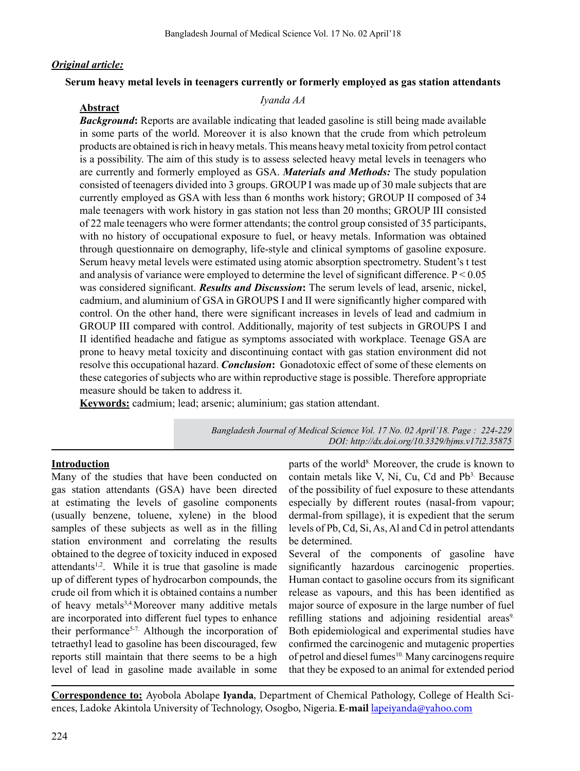#### *Original article:*

### **Serum heavy metal levels in teenagers currently or formerly employed as gas station attendants**

# *Iyanda AA* **Abstract**

*Background***:** Reports are available indicating that leaded gasoline is still being made available in some parts of the world. Moreover it is also known that the crude from which petroleum products are obtained is rich in heavy metals. This means heavy metal toxicity from petrol contact is a possibility. The aim of this study is to assess selected heavy metal levels in teenagers who are currently and formerly employed as GSA. *Materials and Methods:* The study population consisted of teenagers divided into 3 groups. GROUP I was made up of 30 male subjects that are currently employed as GSA with less than 6 months work history; GROUP II composed of 34 male teenagers with work history in gas station not less than 20 months; GROUP III consisted of 22 male teenagers who were former attendants; the control group consisted of 35 participants, with no history of occupational exposure to fuel, or heavy metals. Information was obtained through questionnaire on demography, life-style and clinical symptoms of gasoline exposure. Serum heavy metal levels were estimated using atomic absorption spectrometry. Student's t test and analysis of variance were employed to determine the level of significant difference. P < 0.05 was considered significant. *Results and Discussion***:** The serum levels of lead, arsenic, nickel, cadmium, and aluminium of GSA in GROUPS I and II were significantly higher compared with control. On the other hand, there were significant increases in levels of lead and cadmium in GROUP III compared with control. Additionally, majority of test subjects in GROUPS I and II identified headache and fatigue as symptoms associated with workplace. Teenage GSA are prone to heavy metal toxicity and discontinuing contact with gas station environment did not resolve this occupational hazard. *Conclusion***:** Gonadotoxic effect of some of these elements on these categories of subjects who are within reproductive stage is possible. Therefore appropriate measure should be taken to address it.

**Keywords:** cadmium; lead; arsenic; aluminium; gas station attendant.

*Bangladesh Journal of Medical Science Vol. 17 No. 02 April'18. Page : 224-229 DOI: http://dx.doi.org/10.3329/bjms.v17i2.35875*

#### **Introduction**

Many of the studies that have been conducted on gas station attendants (GSA) have been directed at estimating the levels of gasoline components (usually benzene, toluene, xylene) in the blood samples of these subjects as well as in the filling station environment and correlating the results obtained to the degree of toxicity induced in exposed attendants<sup>1,2</sup>. While it is true that gasoline is made up of different types of hydrocarbon compounds, the crude oil from which it is obtained contains a number of heavy metals<sup>3,4.</sup>Moreover many additive metals are incorporated into different fuel types to enhance their performance<sup>5-7.</sup> Although the incorporation of tetraethyl lead to gasoline has been discouraged, few reports still maintain that there seems to be a high level of lead in gasoline made available in some

parts of the world<sup>8.</sup> Moreover, the crude is known to contain metals like V, Ni, Cu, Cd and  $Pb<sup>3</sup>$ . Because of the possibility of fuel exposure to these attendants especially by different routes (nasal-from vapour; dermal-from spillage), it is expedient that the serum levels of Pb, Cd, Si, As, Al and Cd in petrol attendants be determined.

Several of the components of gasoline have significantly hazardous carcinogenic properties. Human contact to gasoline occurs from its significant release as vapours, and this has been identified as major source of exposure in the large number of fuel refilling stations and adjoining residential areas<sup>9</sup>. Both epidemiological and experimental studies have confirmed the carcinogenic and mutagenic properties of petrol and diesel fumes<sup>10.</sup> Many carcinogens require that they be exposed to an animal for extended period

**Correspondence to:** Ayobola Abolape **Iyanda**, Department of Chemical Pathology, College of Health Sciences, Ladoke Akintola University of Technology, Osogbo, Nigeria.**E-mail** lapeiyanda@yahoo.com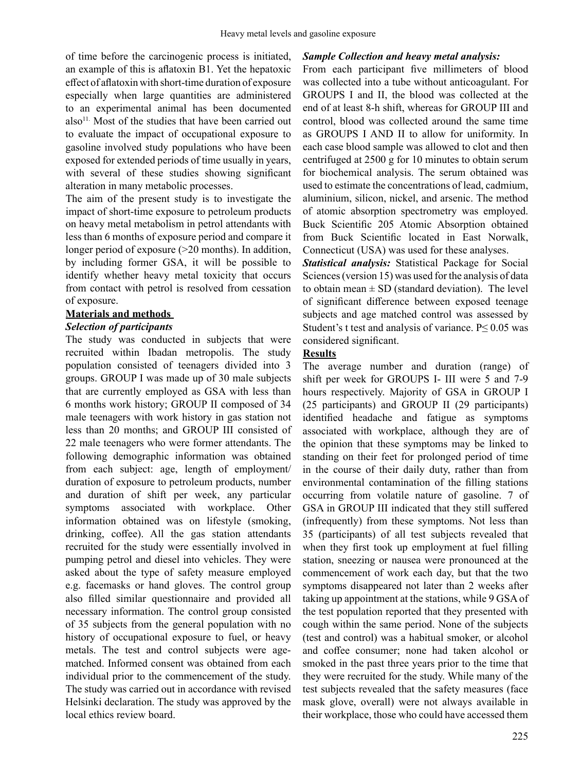of time before the carcinogenic process is initiated, an example of this is aflatoxin B1. Yet the hepatoxic effect of aflatoxin with short-time duration of exposure especially when large quantities are administered to an experimental animal has been documented  $also<sup>11</sup>$ . Most of the studies that have been carried out to evaluate the impact of occupational exposure to gasoline involved study populations who have been exposed for extended periods of time usually in years, with several of these studies showing significant alteration in many metabolic processes.

The aim of the present study is to investigate the impact of short-time exposure to petroleum products on heavy metal metabolism in petrol attendants with less than 6 months of exposure period and compare it longer period of exposure (>20 months). In addition, by including former GSA, it will be possible to identify whether heavy metal toxicity that occurs from contact with petrol is resolved from cessation of exposure.

# **Materials and methods**

# *Selection of participants*

The study was conducted in subjects that were recruited within Ibadan metropolis. The study population consisted of teenagers divided into 3 groups. GROUP I was made up of 30 male subjects that are currently employed as GSA with less than 6 months work history; GROUP II composed of 34 male teenagers with work history in gas station not less than 20 months; and GROUP III consisted of 22 male teenagers who were former attendants. The following demographic information was obtained from each subject: age, length of employment/ duration of exposure to petroleum products, number and duration of shift per week, any particular symptoms associated with workplace. Other information obtained was on lifestyle (smoking, drinking, coffee). All the gas station attendants recruited for the study were essentially involved in pumping petrol and diesel into vehicles. They were asked about the type of safety measure employed e.g. facemasks or hand gloves. The control group also filled similar questionnaire and provided all necessary information. The control group consisted of 35 subjects from the general population with no history of occupational exposure to fuel, or heavy metals. The test and control subjects were agematched. Informed consent was obtained from each individual prior to the commencement of the study. The study was carried out in accordance with revised Helsinki declaration. The study was approved by the local ethics review board.

#### *Sample Collection and heavy metal analysis:*

From each participant five millimeters of blood was collected into a tube without anticoagulant. For GROUPS I and II, the blood was collected at the end of at least 8-h shift, whereas for GROUP III and control, blood was collected around the same time as GROUPS I AND II to allow for uniformity. In each case blood sample was allowed to clot and then centrifuged at 2500 g for 10 minutes to obtain serum for biochemical analysis. The serum obtained was used to estimate the concentrations of lead, cadmium, aluminium, silicon, nickel, and arsenic. The method of atomic absorption spectrometry was employed. Buck Scientific 205 Atomic Absorption obtained from Buck Scientific located in East Norwalk, Connecticut (USA) was used for these analyses.

*Statistical analysis:* Statistical Package for Social Sciences(version 15) was used forthe analysis of data to obtain mean  $\pm$  SD (standard deviation). The level of significant difference between exposed teenage subjects and age matched control was assessed by Student's t test and analysis of variance. P≤ 0.05 was considered significant.

# **Results**

The average number and duration (range) of shift per week for GROUPS I- III were 5 and 7-9 hours respectively. Majority of GSA in GROUP I (25 participants) and GROUP II (29 participants) identified headache and fatigue as symptoms associated with workplace, although they are of the opinion that these symptoms may be linked to standing on their feet for prolonged period of time in the course of their daily duty, rather than from environmental contamination of the filling stations occurring from volatile nature of gasoline. 7 of GSA in GROUP III indicated that they still suffered (infrequently) from these symptoms. Not less than 35 (participants) of all test subjects revealed that when they first took up employment at fuel filling station, sneezing or nausea were pronounced at the commencement of work each day, but that the two symptoms disappeared not later than 2 weeks after taking up appointment at the stations, while 9 GSA of the test population reported that they presented with cough within the same period. None of the subjects (test and control) was a habitual smoker, or alcohol and coffee consumer; none had taken alcohol or smoked in the past three years prior to the time that they were recruited for the study. While many of the test subjects revealed that the safety measures (face mask glove, overall) were not always available in their workplace, those who could have accessed them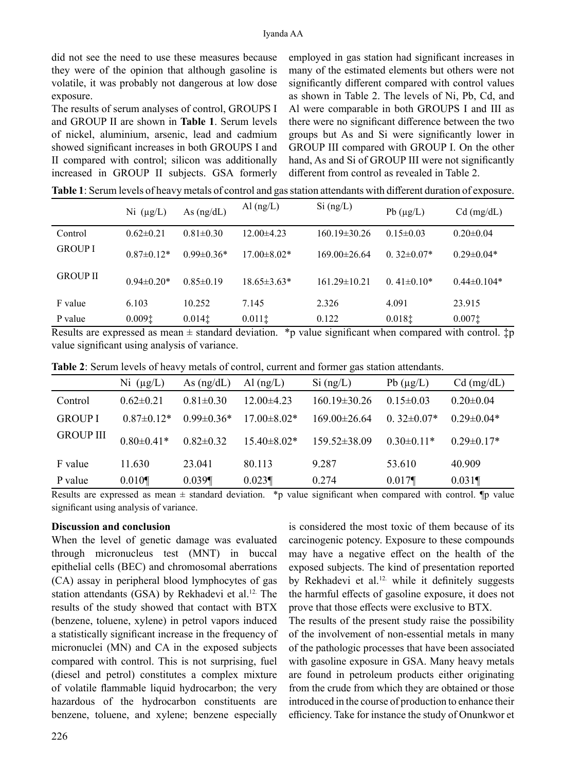did not see the need to use these measures because they were of the opinion that although gasoline is volatile, it was probably not dangerous at low dose exposure.

The results of serum analyses of control, GROUPS I and GROUP II are shown in **Table 1**. Serum levels of nickel, aluminium, arsenic, lead and cadmium showed significant increases in both GROUPS I and II compared with control; silicon was additionally increased in GROUP II subjects. GSA formerly

employed in gas station had significant increases in many of the estimated elements but others were not significantly different compared with control values as shown in Table 2. The levels of Ni, Pb, Cd, and Al were comparable in both GROUPS I and III as there were no significant difference between the two groups but As and Si were significantly lower in GROUP III compared with GROUP I. On the other hand, As and Si of GROUP III were not significantly different from control as revealed in Table 2.

|                 | Ni $(\mu g/L)$  | As $(ng/dL)$    | Al $(ng/L)$       | $Si$ (ng/L)        | Pb $(\mu g/L)$  | $Cd$ (mg/dL)     |
|-----------------|-----------------|-----------------|-------------------|--------------------|-----------------|------------------|
| Control         | $0.62 \pm 0.21$ | $0.81 \pm 0.30$ | $12.00\pm4.23$    | $160.19 \pm 30.26$ | $0.15 \pm 0.03$ | $0.20 \pm 0.04$  |
| <b>GROUP I</b>  | $0.87\pm0.12*$  | $0.99\pm0.36*$  | $17.00 \pm 8.02*$ | $169.00\pm26.64$   | $0.32\pm0.07*$  | $0.29 \pm 0.04*$ |
| <b>GROUP II</b> | $0.94\pm0.20*$  | $0.85 \pm 0.19$ | $18.65 \pm 3.63*$ | $161.29 \pm 10.21$ | $0.41\pm0.10*$  | $0.44\pm0.104*$  |
| F value         | 6.103           | 10.252          | 7.145             | 2.326              | 4.091           | 23.915           |
| P value         | 0.0091          | $0.014$ ‡       | $0.011$ ‡         | 0.122              | 0.0181          | $0.007$ ‡        |

**Table 1**: Serum levels of heavy metals of control and gasstation attendants with different duration of exposure.

Results are expressed as mean  $\pm$  standard deviation. \*p value significant when compared with control.  $\ddagger$ p value significant using analysis of variance.

|  |  | <b>Table 2:</b> Serum levels of heavy metals of control, current and former gas station attendants. |
|--|--|-----------------------------------------------------------------------------------------------------|
|  |  |                                                                                                     |

|                                    | Ni $(\mu g/L)$   | As $(ng/dL)$     | Al $(ng/L)$     | $Si$ (ng/L)        | Pb $(\mu g/L)$  | $Cd$ (mg/dL)     |
|------------------------------------|------------------|------------------|-----------------|--------------------|-----------------|------------------|
| Control                            | $0.62 \pm 0.21$  | $0.81 \pm 0.30$  | $12.00\pm4.23$  | 160.19±30.26       | $0.15 \pm 0.03$ | $0.20 \pm 0.04$  |
| <b>GROUP I</b><br><b>GROUP III</b> | $0.87\pm0.12*$   | $0.99 \pm 0.36*$ | 17.00±8.02*     | $169.00\pm26.64$   | $0.32\pm0.07*$  | $0.29 \pm 0.04*$ |
|                                    | $0.80 \pm 0.41*$ | $0.82 \pm 0.32$  | $15.40\pm8.02*$ | $159.52 \pm 38.09$ | $0.30\pm0.11*$  | $0.29 \pm 0.17*$ |
| F value                            | 11.630           | 23.041           | 80.113          | 9.287              | 53.610          | 40.909           |
| P value                            | $0.010\P$        | 0.039            | $0.023\P$       | 0.274              | 0.017           | 0.031            |

Results are expressed as mean  $\pm$  standard deviation. \*p value significant when compared with control.  $\phi$  value significant using analysis of variance.

#### **Discussion and conclusion**

When the level of genetic damage was evaluated through micronucleus test (MNT) in buccal epithelial cells (BEC) and chromosomal aberrations (CA) assay in peripheral blood lymphocytes of gas station attendants (GSA) by Rekhadevi et al.<sup>12.</sup> The results of the study showed that contact with BTX (benzene, toluene, xylene) in petrol vapors induced a statistically significant increase in the frequency of micronuclei (MN) and CA in the exposed subjects compared with control. This is not surprising, fuel (diesel and petrol) constitutes a complex mixture of volatile flammable liquid hydrocarbon; the very hazardous of the hydrocarbon constituents are benzene, toluene, and xylene; benzene especially

is considered the most toxic of them because of its carcinogenic potency. Exposure to these compounds may have a negative effect on the health of the exposed subjects. The kind of presentation reported by Rekhadevi et al.<sup>12.</sup> while it definitely suggests the harmful effects of gasoline exposure, it does not prove that those effects were exclusive to BTX.

The results of the present study raise the possibility of the involvement of non-essential metals in many of the pathologic processes that have been associated with gasoline exposure in GSA. Many heavy metals are found in petroleum products either originating from the crude from which they are obtained or those introduced in the course of production to enhance their efficiency. Take for instance the study of Onunkwor et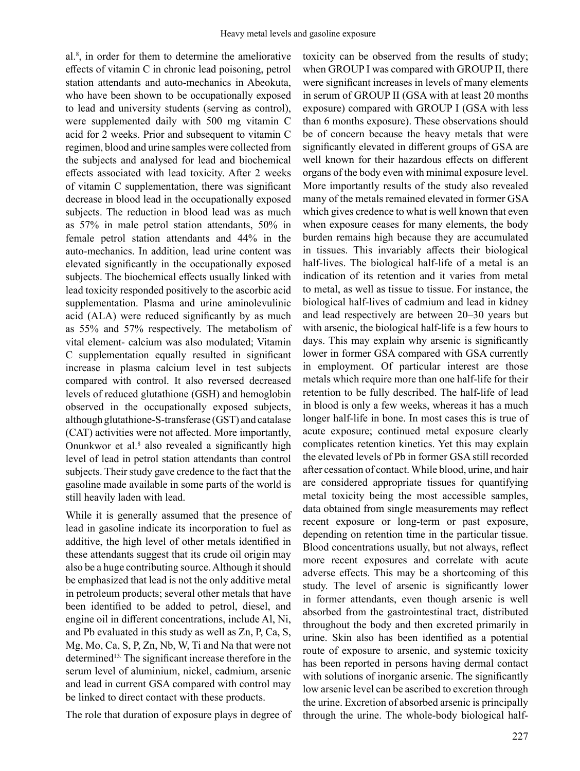al.8 , in order for them to determine the ameliorative effects of vitamin C in chronic lead poisoning, petrol station attendants and auto-mechanics in Abeokuta, who have been shown to be occupationally exposed to lead and university students (serving as control), were supplemented daily with 500 mg vitamin C acid for 2 weeks. Prior and subsequent to vitamin C regimen, blood and urine samples were collected from the subjects and analysed for lead and biochemical effects associated with lead toxicity. After 2 weeks of vitamin C supplementation, there was significant decrease in blood lead in the occupationally exposed subjects. The reduction in blood lead was as much as 57% in male petrol station attendants, 50% in female petrol station attendants and 44% in the auto-mechanics. In addition, lead urine content was elevated significantly in the occupationally exposed subjects. The biochemical effects usually linked with lead toxicity responded positively to the ascorbic acid supplementation. Plasma and urine aminolevulinic acid (ALA) were reduced significantly by as much as 55% and 57% respectively. The metabolism of vital element- calcium was also modulated; Vitamin C supplementation equally resulted in significant increase in plasma calcium level in test subjects compared with control. It also reversed decreased levels of reduced glutathione (GSH) and hemoglobin observed in the occupationally exposed subjects, although glutathione-S-transferase (GST) and catalase (CAT) activities were not affected. More importantly, Onunkwor et al. $8$  also revealed a significantly high level of lead in petrol station attendants than control subjects. Their study gave credence to the fact that the gasoline made available in some parts of the world is still heavily laden with lead.

While it is generally assumed that the presence of lead in gasoline indicate its incorporation to fuel as additive, the high level of other metals identified in these attendants suggest that its crude oil origin may also be a huge contributing source. Although it should be emphasized that lead is not the only additive metal in petroleum products; several other metals that have been identified to be added to petrol, diesel, and engine oil in different concentrations, include Al, Ni, and Pb evaluated in this study as well as Zn, P, Ca, S, Mg, Mo, Ca, S, P, Zn, Nb, W, Ti and Na that were not determined<sup>13.</sup> The significant increase therefore in the serum level of aluminium, nickel, cadmium, arsenic and lead in current GSA compared with control may be linked to direct contact with these products.

The role that duration of exposure plays in degree of

toxicity can be observed from the results of study; when GROUP I was compared with GROUP II, there were significant increases in levels of many elements in serum of GROUP II (GSA with at least 20 months exposure) compared with GROUP I (GSA with less than 6 months exposure). These observations should be of concern because the heavy metals that were significantly elevated in different groups of GSA are well known for their hazardous effects on different organs of the body even with minimal exposure level. More importantly results of the study also revealed many of the metals remained elevated in former GSA which gives credence to what is well known that even when exposure ceases for many elements, the body burden remains high because they are accumulated in tissues. This invariably affects their biological half-lives. The biological half-life of a metal is an indication of its retention and it varies from metal to metal, as well as tissue to tissue. For instance, the biological half-lives of cadmium and lead in kidney and lead respectively are between 20–30 years but with arsenic, the biological half-life is a few hours to days. This may explain why arsenic is significantly lower in former GSA compared with GSA currently in employment. Of particular interest are those metals which require more than one half-life for their retention to be fully described. The half-life of lead in blood is only a few weeks, whereas it has a much longer half-life in bone. In most cases this is true of acute exposure; continued metal exposure clearly complicates retention kinetics. Yet this may explain the elevated levels of Pb in former GSA still recorded after cessation of contact. While blood, urine, and hair are considered appropriate tissues for quantifying metal toxicity being the most accessible samples, data obtained from single measurements may reflect recent exposure or long-term or past exposure, depending on retention time in the particular tissue. Blood concentrations usually, but not always, reflect more recent exposures and correlate with acute adverse effects. This may be a shortcoming of this study. The level of arsenic is significantly lower in former attendants, even though arsenic is well absorbed from the gastrointestinal tract, distributed throughout the body and then excreted primarily in urine. Skin also has been identified as a potential route of exposure to arsenic, and systemic toxicity has been reported in persons having dermal contact with solutions of inorganic arsenic. The significantly low arsenic level can be ascribed to excretion through the urine. Excretion of absorbed arsenic is principally through the urine. The whole-body biological half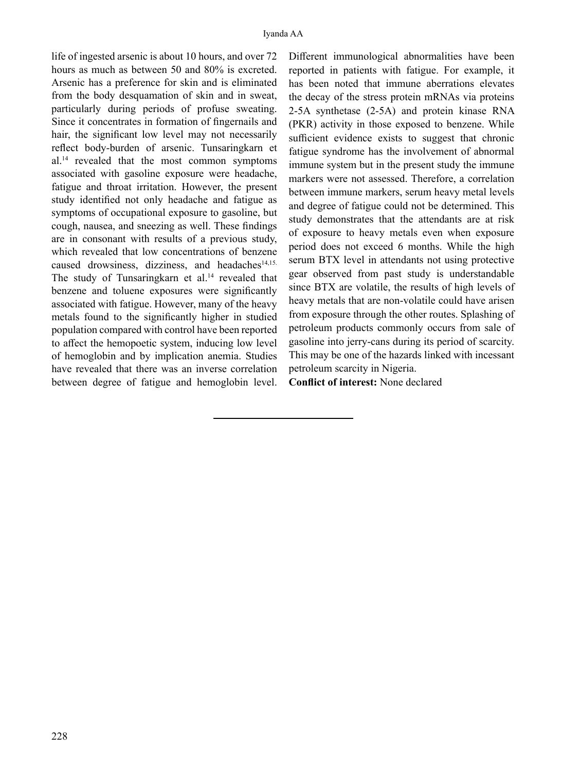life of ingested arsenic is about 10 hours, and over 72 hours as much as between 50 and 80% is excreted. Arsenic has a preference for skin and is eliminated from the body desquamation of skin and in sweat, particularly during periods of profuse sweating. Since it concentrates in formation of fingernails and hair, the significant low level may not necessarily reflect body-burden of arsenic. Tunsaringkarn et al.<sup>14</sup> revealed that the most common symptoms associated with gasoline exposure were headache, fatigue and throat irritation. However, the present study identified not only headache and fatigue as symptoms of occupational exposure to gasoline, but cough, nausea, and sneezing as well. These findings are in consonant with results of a previous study, which revealed that low concentrations of benzene caused drowsiness, dizziness, and headaches<sup>14,15.</sup> The study of Tunsaringkarn et al.<sup>14</sup> revealed that benzene and toluene exposures were significantly associated with fatigue. However, many of the heavy metals found to the significantly higher in studied population compared with control have been reported to affect the hemopoetic system, inducing low level of hemoglobin and by implication anemia. Studies have revealed that there was an inverse correlation between degree of fatigue and hemoglobin level.

Different immunological abnormalities have been reported in patients with fatigue. For example, it has been noted that immune aberrations elevates the decay of the stress protein mRNAs via proteins 2-5A synthetase (2-5A) and protein kinase RNA (PKR) activity in those exposed to benzene. While sufficient evidence exists to suggest that chronic fatigue syndrome has the involvement of abnormal immune system but in the present study the immune markers were not assessed. Therefore, a correlation between immune markers, serum heavy metal levels and degree of fatigue could not be determined. This study demonstrates that the attendants are at risk of exposure to heavy metals even when exposure period does not exceed 6 months. While the high serum BTX level in attendants not using protective gear observed from past study is understandable since BTX are volatile, the results of high levels of heavy metals that are non-volatile could have arisen from exposure through the other routes. Splashing of petroleum products commonly occurs from sale of gasoline into jerry-cans during its period of scarcity. This may be one of the hazards linked with incessant petroleum scarcity in Nigeria.

**Conflict of interest:** None declared